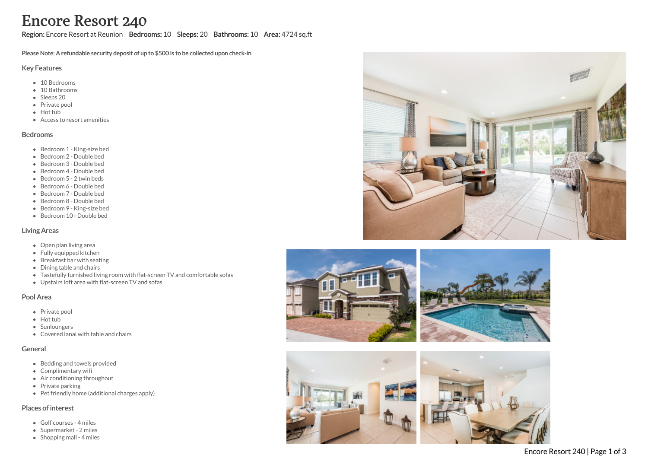Region: Encore Resort at Reunion Bedrooms: 10 Sleeps: 20 Bathrooms: 10 Area: 4724 sq.ft

Please Note: A refundable security deposit of up to \$500 is to be collected upon check-in

#### Key Features

- 10 Bedrooms
- 10 Bathrooms
- Sleeps 20
- Private pool
- Hot tub
- Access to resort amenities

#### Bedrooms

- Bedroom 1 King-size bed
- Bedroom 2 Double bed
- Bedroom 3 Double bed
- Bedroom 4 Double bed
- Bedroom 5 2 twin beds
- Bedroom 6 Double bed
- Bedroom 7 Double bed
- Bedroom 8 Double bed
- Bedroom 9 King-size bed
- Bedroom 10 Double bed

#### Living Areas

- Open plan living area
- Fully equipped kitchen
- Breakfast bar with seating
- Dining table and chairs
- Tastefully furnished living room with flat-screen TV and comfortable sofas
- Upstairs loft area with flat-screen TV and sofas

#### Pool Area

- Private pool
- Hot tub
- Sunloungers
- Covered lanai with table and chairs

### General

- Bedding and towels provided
- Complimentary wifi
- Air conditioning throughout
- Private parking
- Pet friendly home (additional charges apply)

### Places of interest

- Golf courses 4 miles
- Supermarket 2 miles
- Shopping mall 4 miles







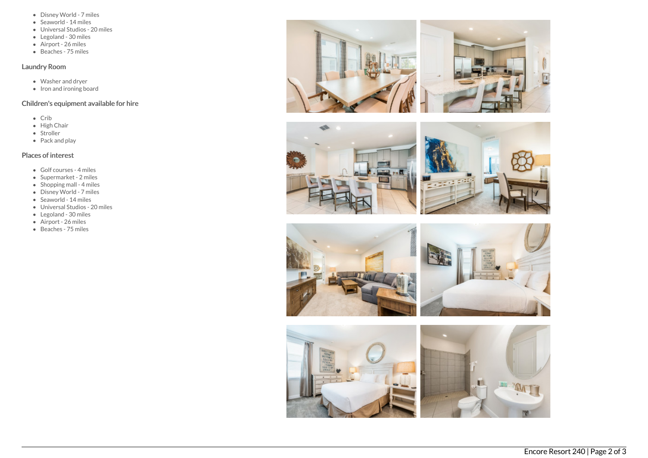- Disney World 7 miles
- Seaworld 14 miles
- Universal Studios 20 miles
- Legoland 30 miles
- Airport 26 miles
- $\bullet$  Beaches 75 miles

## Laundry Room

- Washer and dryer
- Iron and ironing board

## Children's equipment available for hire

- Crib
- $\bullet$  High Chair
- Stroller
- Pack and play

# Places of interest

- Golf courses 4 miles
- Supermarket 2 miles
- $\bullet$  Shopping mall 4 miles
- Disney World 7 miles
- Seaworld 14 miles
- Universal Studios 20 miles
- Legoland 30 miles
- Airport 26 miles
- Beaches 75 miles